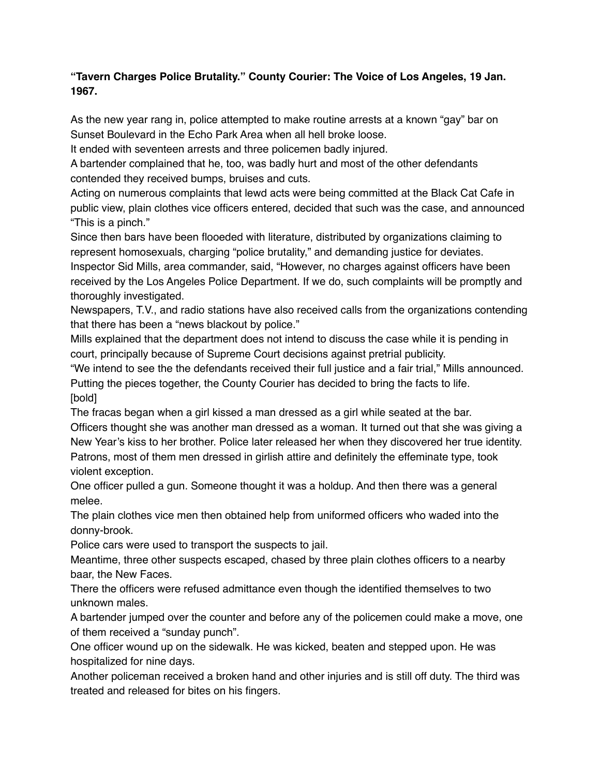## **"Tavern Charges Police Brutality." County Courier: The Voice of Los Angeles, 19 Jan. 1967.**

As the new year rang in, police attempted to make routine arrests at a known "gay" bar on Sunset Boulevard in the Echo Park Area when all hell broke loose.

It ended with seventeen arrests and three policemen badly injured.

A bartender complained that he, too, was badly hurt and most of the other defendants contended they received bumps, bruises and cuts.

Acting on numerous complaints that lewd acts were being committed at the Black Cat Cafe in public view, plain clothes vice officers entered, decided that such was the case, and announced "This is a pinch."

Since then bars have been flooeded with literature, distributed by organizations claiming to represent homosexuals, charging "police brutality," and demanding justice for deviates.

Inspector Sid Mills, area commander, said, "However, no charges against officers have been received by the Los Angeles Police Department. If we do, such complaints will be promptly and thoroughly investigated.

Newspapers, T.V., and radio stations have also received calls from the organizations contending that there has been a "news blackout by police."

Mills explained that the department does not intend to discuss the case while it is pending in court, principally because of Supreme Court decisions against pretrial publicity.

"We intend to see the the defendants received their full justice and a fair trial," Mills announced. Putting the pieces together, the County Courier has decided to bring the facts to life. [bold]

The fracas began when a girl kissed a man dressed as a girl while seated at the bar.

Officers thought she was another man dressed as a woman. It turned out that she was giving a New Year's kiss to her brother. Police later released her when they discovered her true identity. Patrons, most of them men dressed in girlish attire and definitely the effeminate type, took violent exception.

One officer pulled a gun. Someone thought it was a holdup. And then there was a general melee.

The plain clothes vice men then obtained help from uniformed officers who waded into the donny-brook.

Police cars were used to transport the suspects to jail.

Meantime, three other suspects escaped, chased by three plain clothes officers to a nearby baar, the New Faces.

There the officers were refused admittance even though the identified themselves to two unknown males.

A bartender jumped over the counter and before any of the policemen could make a move, one of them received a "sunday punch".

One officer wound up on the sidewalk. He was kicked, beaten and stepped upon. He was hospitalized for nine days.

Another policeman received a broken hand and other injuries and is still off duty. The third was treated and released for bites on his fingers.